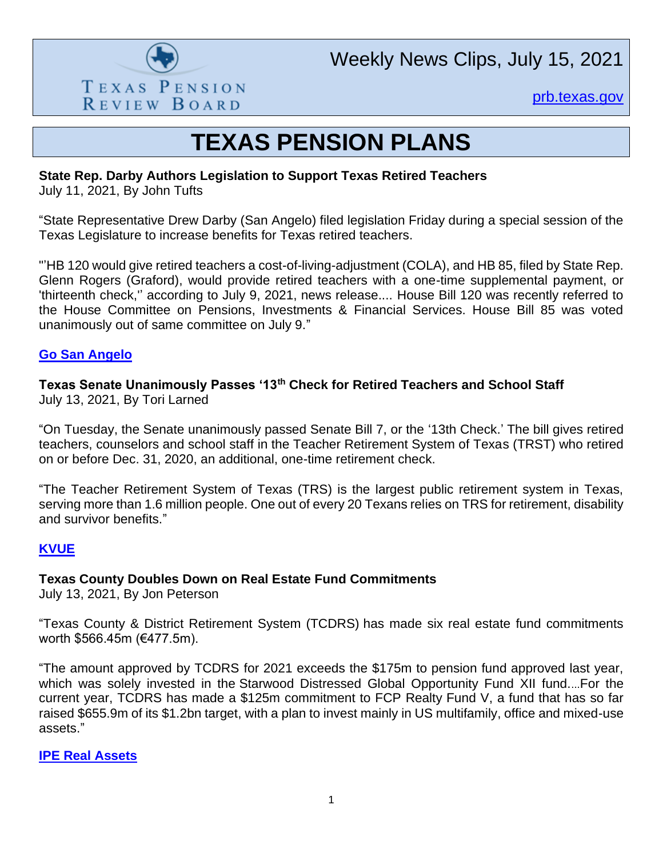

Weekly News Clips, July 15, 2021

[prb.texas.gov](http://www.prb.texas.gov/)

# **TEXAS PENSION PLANS**

# **State Rep. Darby Authors Legislation to Support Texas Retired Teachers**

July 11, 2021, By John Tufts

"State Representative Drew Darby (San Angelo) filed legislation Friday during a special session of the Texas Legislature to increase benefits for Texas retired teachers.

"'HB 120 would give retired teachers a cost-of-living-adjustment (COLA), and HB 85, filed by State Rep. Glenn Rogers (Graford), would provide retired teachers with a one-time supplemental payment, or 'thirteenth check,'' according to July 9, 2021, news release.... House Bill 120 was recently referred to the House Committee on Pensions, Investments & Financial Services. House Bill 85 was voted unanimously out of same committee on July 9."

#### **[Go San Angelo](https://www.gosanangelo.com/story/news/2021/07/11/state-rep-darby-authors-legislation-support-texas-retired-teachers/7930741002/)**

# **Texas Senate Unanimously Passes '13th Check for Retired Teachers and School Staff**

July 13, 2021, By Tori Larned

"On Tuesday, the Senate unanimously passed Senate Bill 7, or the '13th Check.' The bill gives retired teachers, counselors and school staff in the Teacher Retirement System of Texas (TRST) who retired on or before Dec. 31, 2020, an additional, one-time retirement check.

"The Teacher Retirement System of Texas (TRS) is the largest public retirement system in Texas, serving more than 1.6 million people. One out of every 20 Texans relies on TRS for retirement, disability and survivor benefits."

#### **[KVUE](https://www.kvue.com/article/news/politics/texas-legislature/texas-senate-unanimously-passes-13th-check-for-retired-teachers-and-school-staff/269-8e60260e-6be3-4065-a561-b50b2c42fbf5)**

#### **Texas County Doubles Down on Real Estate Fund Commitments**

July 13, 2021, By Jon Peterson

"Texas County & District Retirement System (TCDRS) has made six real estate fund commitments worth \$566.45m (€477.5m).

"The amount approved by TCDRS for 2021 exceeds the \$175m to pension fund approved last year, which was solely invested in the Starwood Distressed Global Opportunity Fund XII fund....For the current year, TCDRS has made a \$125m commitment to FCP Realty Fund V, a fund that has so far raised \$655.9m of its \$1.2bn target, with a plan to invest mainly in US multifamily, office and mixed-use assets."

#### **[IPE Real Assets](https://realassets.ipe.com/news/texas-county-doubles-down-on-real-estate-fund-commitments/10053999.article)**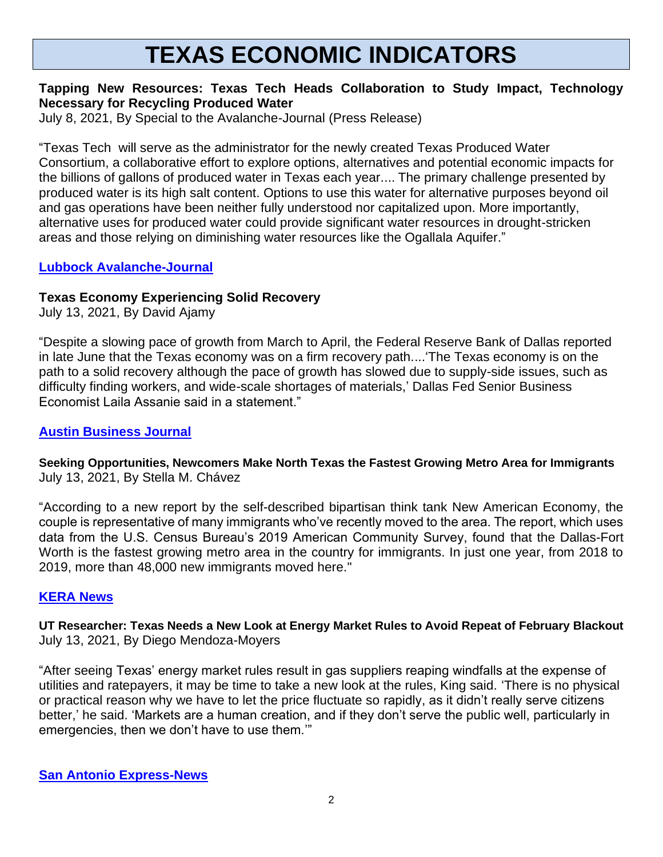# **TEXAS ECONOMIC INDICATORS**

#### **Tapping New Resources: Texas Tech Heads Collaboration to Study Impact, Technology Necessary for Recycling Produced Water**

July 8, 2021, By Special to the Avalanche-Journal (Press Release)

"Texas Tech will serve as the administrator for the newly created Texas Produced Water Consortium, a collaborative effort to explore options, alternatives and potential economic impacts for the billions of gallons of produced water in Texas each year.... The primary challenge presented by produced water is its high salt content. Options to use this water for alternative purposes beyond oil and gas operations have been neither fully understood nor capitalized upon. More importantly, alternative uses for produced water could provide significant water resources in drought-stricken areas and those relying on diminishing water resources like the Ogallala Aquifer."

#### **[Lubbock Avalanche-Journal](https://www.lubbockonline.com/story/news/2021/07/08/texas-tech-heads-collaboration-study-impact-technology-necessary-recycling-produced-water/7906109002/)**

#### **Texas Economy Experiencing Solid Recovery**

July 13, 2021, By David Ajamy

"Despite a slowing pace of growth from March to April, the Federal Reserve Bank of Dallas reported in late June that the Texas economy was on a firm recovery path....'The Texas economy is on the path to a solid recovery although the pace of growth has slowed due to supply-side issues, such as difficulty finding workers, and wide-scale shortages of materials,' Dallas Fed Senior Business Economist Laila Assanie said in a statement."

### **[Austin Business Journal](https://www.bizjournals.com/austin/news/2021/07/13/texas-economy-dynamics-returning-to-the-office.html)**

#### **Seeking Opportunities, Newcomers Make North Texas the Fastest Growing Metro Area for Immigrants** July 13, 2021, By Stella M. Chávez

"According to a new report by the self-described bipartisan think tank New American Economy, the couple is representative of many immigrants who've recently moved to the area. The report, which uses data from the U.S. Census Bureau's 2019 American Community Survey, found that the Dallas-Fort Worth is the fastest growing metro area in the country for immigrants. In just one year, from 2018 to 2019, more than 48,000 new immigrants moved here."

#### **[KERA News](https://www.keranews.org/business-economy/2021-07-13/seeking-opportunities-newcomers-make-north-texas-the-fastest-growing-metro-area-for-immigrants)**

#### **UT Researcher: Texas Needs a New Look at Energy Market Rules to Avoid Repeat of February Blackout** July 13, 2021, By Diego Mendoza-Moyers

"After seeing Texas' energy market rules result in gas suppliers reaping windfalls at the expense of utilities and ratepayers, it may be time to take a new look at the rules, King said. 'There is no physical or practical reason why we have to let the price fluctuate so rapidly, as it didn't really serve citizens better,' he said. 'Markets are a human creation, and if they don't serve the public well, particularly in emergencies, then we don't have to use them.'"